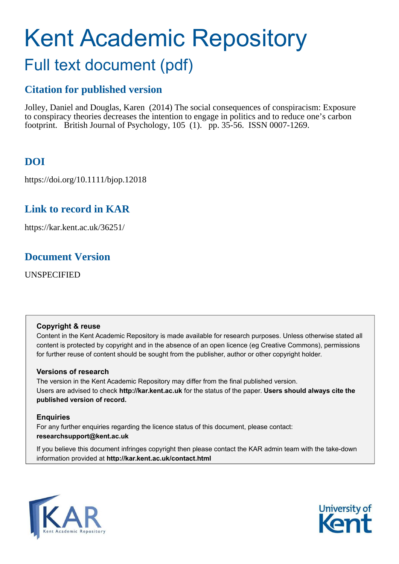# Kent Academic Repository Full text document (pdf)

# **Citation for published version**

Jolley, Daniel and Douglas, Karen (2014) The social consequences of conspiracism: Exposure to conspiracy theories decreases the intention to engage in politics and to reduce one's carbon footprint. British Journal of Psychology, 105 (1). pp. 35-56. ISSN 0007-1269.

# **DOI**

https://doi.org/10.1111/bjop.12018

# **Link to record in KAR**

https://kar.kent.ac.uk/36251/

# **Document Version**

UNSPECIFIED

#### **Copyright & reuse**

Content in the Kent Academic Repository is made available for research purposes. Unless otherwise stated all content is protected by copyright and in the absence of an open licence (eg Creative Commons), permissions for further reuse of content should be sought from the publisher, author or other copyright holder.

## **Versions of research**

The version in the Kent Academic Repository may differ from the final published version. Users are advised to check **http://kar.kent.ac.uk** for the status of the paper. **Users should always cite the published version of record.**

## **Enquiries**

For any further enquiries regarding the licence status of this document, please contact: **researchsupport@kent.ac.uk**

If you believe this document infringes copyright then please contact the KAR admin team with the take-down information provided at **http://kar.kent.ac.uk/contact.html**



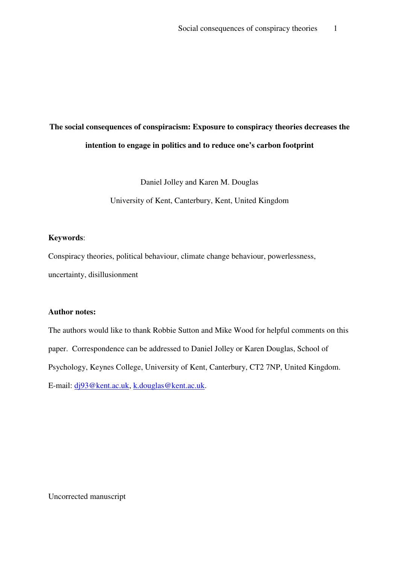# **The social consequences of conspiracism: Exposure to conspiracy theories decreases the intention to engage in politics and to reduce one's carbon footprint**

Daniel Jolley and Karen M. Douglas

University of Kent, Canterbury, Kent, United Kingdom

#### **Keywords**:

Conspiracy theories, political behaviour, climate change behaviour, powerlessness, uncertainty, disillusionment

#### **Author notes:**

The authors would like to thank Robbie Sutton and Mike Wood for helpful comments on this paper. Correspondence can be addressed to Daniel Jolley or Karen Douglas, School of Psychology, Keynes College, University of Kent, Canterbury, CT2 7NP, United Kingdom. E-mail: dj93@kent.ac.uk, k.douglas@kent.ac.uk.

Uncorrected manuscript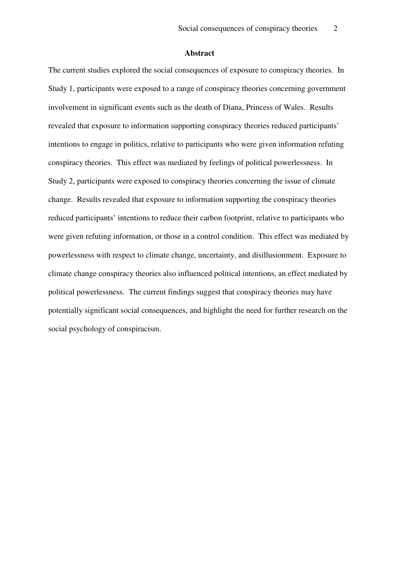#### **Abstract**

The current studies explored the social consequences of exposure to conspiracy theories. In Study 1, participants were exposed to a range of conspiracy theories concerning government involvement in significant events such as the death of Diana, Princess of Wales. Results revealed that exposure to information supporting conspiracy theories reduced participants' intentions to engage in politics, relative to participants who were given information refuting conspiracy theories. This effect was mediated by feelings of political powerlessness. In Study 2, participants were exposed to conspiracy theories concerning the issue of climate change. Results revealed that exposure to information supporting the conspiracy theories reduced participants' intentions to reduce their carbon footprint, relative to participants who were given refuting information, or those in a control condition. This effect was mediated by powerlessness with respect to climate change, uncertainty, and disillusionment. Exposure to climate change conspiracy theories also influenced political intentions, an effect mediated by political powerlessness. The current findings suggest that conspiracy theories may have potentially significant social consequences, and highlight the need for further research on the social psychology of conspiracism.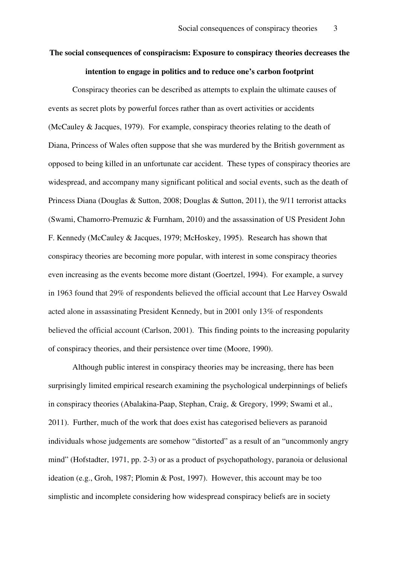# **The social consequences of conspiracism: Exposure to conspiracy theories decreases the intention to engage in politics and to reduce one's carbon footprint**

Conspiracy theories can be described as attempts to explain the ultimate causes of events as secret plots by powerful forces rather than as overt activities or accidents (McCauley & Jacques, 1979). For example, conspiracy theories relating to the death of Diana, Princess of Wales often suppose that she was murdered by the British government as opposed to being killed in an unfortunate car accident. These types of conspiracy theories are widespread, and accompany many significant political and social events, such as the death of Princess Diana (Douglas & Sutton, 2008; Douglas & Sutton, 2011), the 9/11 terrorist attacks (Swami, Chamorro-Premuzic & Furnham, 2010) and the assassination of US President John F. Kennedy (McCauley & Jacques, 1979; McHoskey, 1995). Research has shown that conspiracy theories are becoming more popular, with interest in some conspiracy theories even increasing as the events become more distant (Goertzel, 1994). For example, a survey in 1963 found that 29% of respondents believed the official account that Lee Harvey Oswald acted alone in assassinating President Kennedy, but in 2001 only 13% of respondents believed the official account (Carlson, 2001). This finding points to the increasing popularity of conspiracy theories, and their persistence over time (Moore, 1990).

Although public interest in conspiracy theories may be increasing, there has been surprisingly limited empirical research examining the psychological underpinnings of beliefs in conspiracy theories (Abalakina-Paap, Stephan, Craig, & Gregory, 1999; Swami et al., 2011). Further, much of the work that does exist has categorised believers as paranoid individuals whose judgements are somehow "distorted" as a result of an "uncommonly angry mind" (Hofstadter, 1971, pp. 2-3) or as a product of psychopathology, paranoia or delusional ideation (e.g., Groh, 1987; Plomin & Post, 1997). However, this account may be too simplistic and incomplete considering how widespread conspiracy beliefs are in society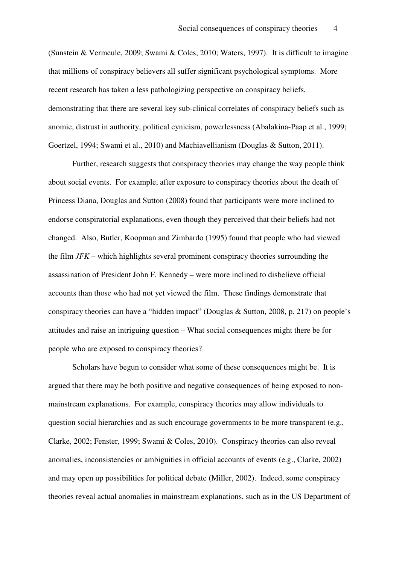(Sunstein & Vermeule, 2009; Swami & Coles, 2010; Waters, 1997). It is difficult to imagine that millions of conspiracy believers all suffer significant psychological symptoms. More recent research has taken a less pathologizing perspective on conspiracy beliefs, demonstrating that there are several key sub-clinical correlates of conspiracy beliefs such as anomie, distrust in authority, political cynicism, powerlessness (Abalakina-Paap et al., 1999; Goertzel, 1994; Swami et al., 2010) and Machiavellianism (Douglas & Sutton, 2011).

Further, research suggests that conspiracy theories may change the way people think about social events. For example, after exposure to conspiracy theories about the death of Princess Diana, Douglas and Sutton (2008) found that participants were more inclined to endorse conspiratorial explanations, even though they perceived that their beliefs had not changed. Also, Butler, Koopman and Zimbardo (1995) found that people who had viewed the film *JFK* – which highlights several prominent conspiracy theories surrounding the assassination of President John F. Kennedy – were more inclined to disbelieve official accounts than those who had not yet viewed the film. These findings demonstrate that conspiracy theories can have a "hidden impact" (Douglas & Sutton, 2008, p. 217) on people's attitudes and raise an intriguing question – What social consequences might there be for people who are exposed to conspiracy theories?

Scholars have begun to consider what some of these consequences might be. It is argued that there may be both positive and negative consequences of being exposed to nonmainstream explanations. For example, conspiracy theories may allow individuals to question social hierarchies and as such encourage governments to be more transparent (e.g., Clarke, 2002; Fenster, 1999; Swami & Coles, 2010). Conspiracy theories can also reveal anomalies, inconsistencies or ambiguities in official accounts of events (e.g., Clarke, 2002) and may open up possibilities for political debate (Miller, 2002). Indeed, some conspiracy theories reveal actual anomalies in mainstream explanations, such as in the US Department of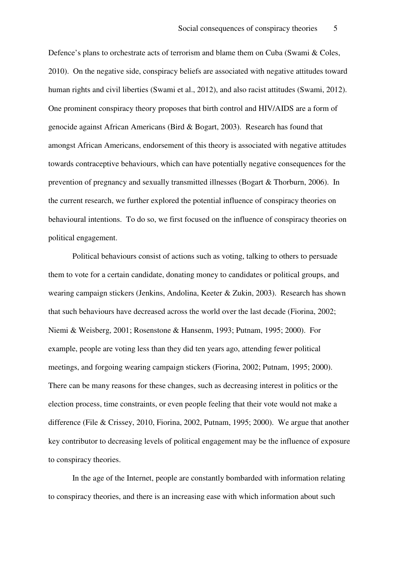Defence's plans to orchestrate acts of terrorism and blame them on Cuba (Swami & Coles, 2010). On the negative side, conspiracy beliefs are associated with negative attitudes toward human rights and civil liberties (Swami et al., 2012), and also racist attitudes (Swami, 2012). One prominent conspiracy theory proposes that birth control and HIV/AIDS are a form of genocide against African Americans (Bird & Bogart, 2003). Research has found that amongst African Americans, endorsement of this theory is associated with negative attitudes towards contraceptive behaviours, which can have potentially negative consequences for the prevention of pregnancy and sexually transmitted illnesses (Bogart & Thorburn, 2006). In the current research, we further explored the potential influence of conspiracy theories on behavioural intentions. To do so, we first focused on the influence of conspiracy theories on political engagement.

Political behaviours consist of actions such as voting, talking to others to persuade them to vote for a certain candidate, donating money to candidates or political groups, and wearing campaign stickers (Jenkins, Andolina, Keeter & Zukin, 2003). Research has shown that such behaviours have decreased across the world over the last decade (Fiorina, 2002; Niemi & Weisberg, 2001; Rosenstone & Hansenm, 1993; Putnam, 1995; 2000). For example, people are voting less than they did ten years ago, attending fewer political meetings, and forgoing wearing campaign stickers (Fiorina, 2002; Putnam, 1995; 2000). There can be many reasons for these changes, such as decreasing interest in politics or the election process, time constraints, or even people feeling that their vote would not make a difference (File & Crissey, 2010, Fiorina, 2002, Putnam, 1995; 2000). We argue that another key contributor to decreasing levels of political engagement may be the influence of exposure to conspiracy theories.

In the age of the Internet, people are constantly bombarded with information relating to conspiracy theories, and there is an increasing ease with which information about such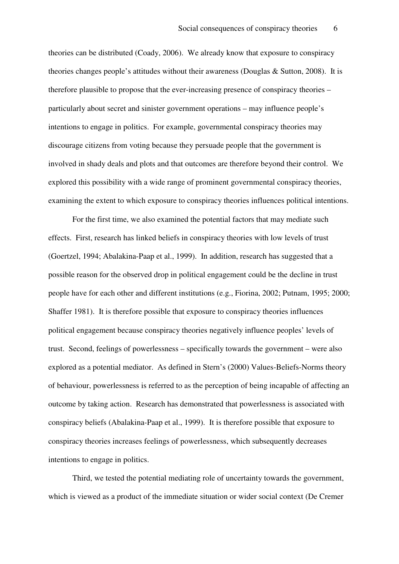theories can be distributed (Coady, 2006). We already know that exposure to conspiracy theories changes people's attitudes without their awareness (Douglas & Sutton, 2008). It is therefore plausible to propose that the ever-increasing presence of conspiracy theories – particularly about secret and sinister government operations – may influence people's intentions to engage in politics. For example, governmental conspiracy theories may discourage citizens from voting because they persuade people that the government is involved in shady deals and plots and that outcomes are therefore beyond their control. We explored this possibility with a wide range of prominent governmental conspiracy theories, examining the extent to which exposure to conspiracy theories influences political intentions.

For the first time, we also examined the potential factors that may mediate such effects. First, research has linked beliefs in conspiracy theories with low levels of trust (Goertzel, 1994; Abalakina-Paap et al., 1999). In addition, research has suggested that a possible reason for the observed drop in political engagement could be the decline in trust people have for each other and different institutions (e.g., Fiorina, 2002; Putnam, 1995; 2000; Shaffer 1981). It is therefore possible that exposure to conspiracy theories influences political engagement because conspiracy theories negatively influence peoples' levels of trust. Second, feelings of powerlessness – specifically towards the government – were also explored as a potential mediator. As defined in Stern's (2000) Values-Beliefs-Norms theory of behaviour, powerlessness is referred to as the perception of being incapable of affecting an outcome by taking action. Research has demonstrated that powerlessness is associated with conspiracy beliefs (Abalakina-Paap et al., 1999). It is therefore possible that exposure to conspiracy theories increases feelings of powerlessness, which subsequently decreases intentions to engage in politics.

Third, we tested the potential mediating role of uncertainty towards the government, which is viewed as a product of the immediate situation or wider social context (De Cremer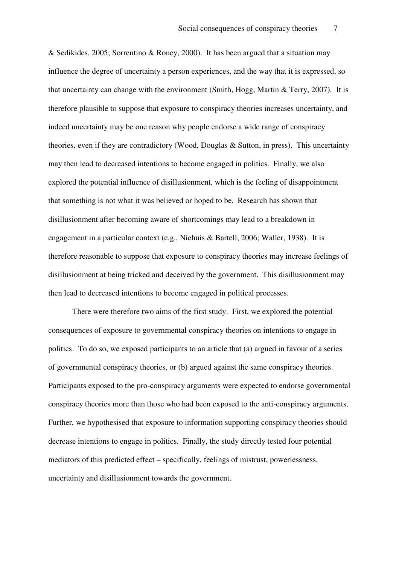& Sedikides, 2005; Sorrentino & Roney, 2000). It has been argued that a situation may influence the degree of uncertainty a person experiences, and the way that it is expressed, so that uncertainty can change with the environment (Smith, Hogg, Martin & Terry, 2007). It is therefore plausible to suppose that exposure to conspiracy theories increases uncertainty, and indeed uncertainty may be one reason why people endorse a wide range of conspiracy theories, even if they are contradictory (Wood, Douglas & Sutton, in press). This uncertainty may then lead to decreased intentions to become engaged in politics. Finally, we also explored the potential influence of disillusionment, which is the feeling of disappointment that something is not what it was believed or hoped to be. Research has shown that disillusionment after becoming aware of shortcomings may lead to a breakdown in engagement in a particular context (e.g., Niehuis & Bartell, 2006; Waller, 1938). It is therefore reasonable to suppose that exposure to conspiracy theories may increase feelings of disillusionment at being tricked and deceived by the government. This disillusionment may then lead to decreased intentions to become engaged in political processes.

There were therefore two aims of the first study. First, we explored the potential consequences of exposure to governmental conspiracy theories on intentions to engage in politics. To do so, we exposed participants to an article that (a) argued in favour of a series of governmental conspiracy theories, or (b) argued against the same conspiracy theories. Participants exposed to the pro-conspiracy arguments were expected to endorse governmental conspiracy theories more than those who had been exposed to the anti-conspiracy arguments. Further, we hypothesised that exposure to information supporting conspiracy theories should decrease intentions to engage in politics. Finally, the study directly tested four potential mediators of this predicted effect – specifically, feelings of mistrust, powerlessness, uncertainty and disillusionment towards the government.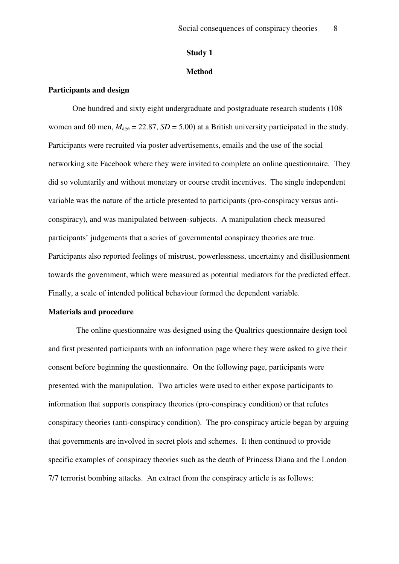#### **Study 1**

#### **Method**

#### **Participants and design**

One hundred and sixty eight undergraduate and postgraduate research students (108 women and 60 men,  $M_{\text{age}} = 22.87$ ,  $SD = 5.00$ ) at a British university participated in the study. Participants were recruited via poster advertisements, emails and the use of the social networking site Facebook where they were invited to complete an online questionnaire. They did so voluntarily and without monetary or course credit incentives. The single independent variable was the nature of the article presented to participants (pro-conspiracy versus anticonspiracy), and was manipulated between-subjects. A manipulation check measured participants' judgements that a series of governmental conspiracy theories are true. Participants also reported feelings of mistrust, powerlessness, uncertainty and disillusionment towards the government, which were measured as potential mediators for the predicted effect. Finally, a scale of intended political behaviour formed the dependent variable.

#### **Materials and procedure**

The online questionnaire was designed using the Qualtrics questionnaire design tool and first presented participants with an information page where they were asked to give their consent before beginning the questionnaire. On the following page, participants were presented with the manipulation.Two articles were used to either expose participants to information that supports conspiracy theories (pro-conspiracy condition) or that refutes conspiracy theories (anti-conspiracy condition). The pro-conspiracy article began by arguing that governments are involved in secret plots and schemes. It then continued to provide specific examples of conspiracy theories such as the death of Princess Diana and the London 7/7 terrorist bombing attacks. An extract from the conspiracy article is as follows: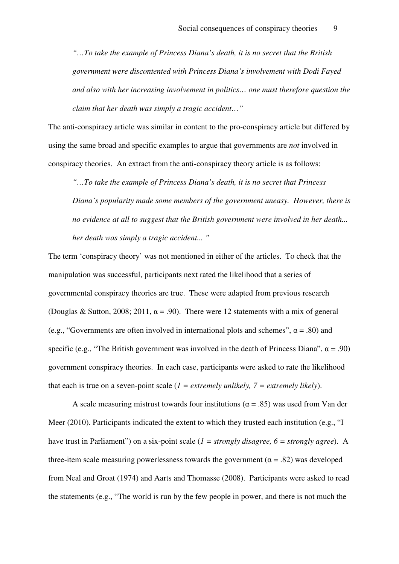*"…To take the example of Princess Diana's death, it is no secret that the British government were discontented with Princess Diana's involvement with Dodi Fayed and also with her increasing involvement in politics… one must therefore question the claim that her death was simply a tragic accident…"*

The anti-conspiracy article was similar in content to the pro-conspiracy article but differed by using the same broad and specific examples to argue that governments are *not* involved in conspiracy theories. An extract from the anti-conspiracy theory article is as follows:

*"…To take the example of Princess Diana's death, it is no secret that Princess Diana's popularity made some members of the government uneasy. However, there is no evidence at all to suggest that the British government were involved in her death... her death was simply a tragic accident... "* 

The term 'conspiracy theory' was not mentioned in either of the articles.To check that the manipulation was successful, participants next rated the likelihood that a series of governmental conspiracy theories are true. These were adapted from previous research (Douglas & Sutton, 2008; 2011,  $\alpha = .90$ ). There were 12 statements with a mix of general (e.g., "Governments are often involved in international plots and schemes",  $\alpha$  = .80) and specific (e.g., "The British government was involved in the death of Princess Diana",  $\alpha$  = .90) government conspiracy theories. In each case, participants were asked to rate the likelihood that each is true on a seven-point scale (*1 = extremely unlikely, 7 = extremely likely*).

A scale measuring mistrust towards four institutions ( $\alpha$  = .85) was used from Van der Meer (2010). Participants indicated the extent to which they trusted each institution (e.g., "I have trust in Parliament") on a six-point scale (*1 = strongly disagree, 6 = strongly agree*). A three-item scale measuring powerlessness towards the government ( $\alpha$  = .82) was developed from Neal and Groat (1974) and Aarts and Thomasse (2008). Participants were asked to read the statements (e.g., "The world is run by the few people in power, and there is not much the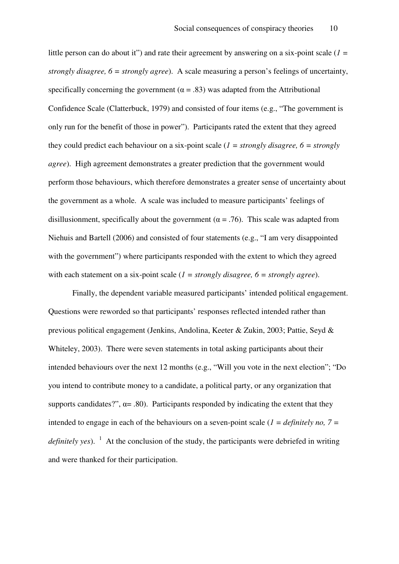little person can do about it") and rate their agreement by answering on a six-point scale (*1 = strongly disagree, 6 = strongly agree*). A scale measuring a person's feelings of uncertainty, specifically concerning the government ( $\alpha = .83$ ) was adapted from the Attributional Confidence Scale (Clatterbuck, 1979) and consisted of four items (e.g., "The government is only run for the benefit of those in power"). Participants rated the extent that they agreed they could predict each behaviour on a six-point scale (*1 = strongly disagree, 6 = strongly agree*). High agreement demonstrates a greater prediction that the government would perform those behaviours, which therefore demonstrates a greater sense of uncertainty about the government as a whole. A scale was included to measure participants' feelings of disillusionment, specifically about the government ( $\alpha$  = .76). This scale was adapted from Niehuis and Bartell (2006) and consisted of four statements (e.g., "I am very disappointed with the government") where participants responded with the extent to which they agreed with each statement on a six-point scale (*1 = strongly disagree, 6 = strongly agree*).

Finally, the dependent variable measured participants' intended political engagement. Questions were reworded so that participants' responses reflected intended rather than previous political engagement (Jenkins, Andolina, Keeter & Zukin, 2003; Pattie, Seyd & Whiteley, 2003). There were seven statements in total asking participants about their intended behaviours over the next 12 months (e.g., "Will you vote in the next election"; "Do you intend to contribute money to a candidate, a political party, or any organization that supports candidates?",  $\alpha$  = .80). Participants responded by indicating the extent that they intended to engage in each of the behaviours on a seven-point scale (*1 = definitely no, 7 =*  definitely yes). <sup>1</sup> At the conclusion of the study, the participants were debriefed in writing and were thanked for their participation.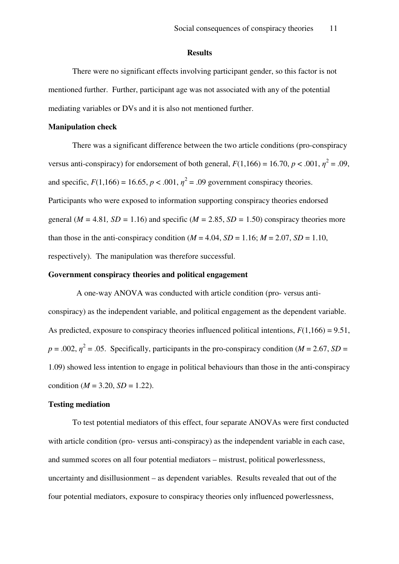#### **Results**

 There were no significant effects involving participant gender, so this factor is not mentioned further. Further, participant age was not associated with any of the potential mediating variables or DVs and it is also not mentioned further.

#### **Manipulation check**

There was a significant difference between the two article conditions (pro-conspiracy versus anti-conspiracy) for endorsement of both general,  $F(1,166) = 16.70$ ,  $p < .001$ ,  $\eta^2 = .09$ , and specific,  $F(1,166) = 16.65$ ,  $p < .001$ ,  $\eta^2 = .09$  government conspiracy theories. Participants who were exposed to information supporting conspiracy theories endorsed general ( $M = 4.81$ ,  $SD = 1.16$ ) and specific ( $M = 2.85$ ,  $SD = 1.50$ ) conspiracy theories more than those in the anti-conspiracy condition ( $M = 4.04$ ,  $SD = 1.16$ ;  $M = 2.07$ ,  $SD = 1.10$ , respectively). The manipulation was therefore successful.

#### **Government conspiracy theories and political engagement**

A one-way ANOVA was conducted with article condition (pro- versus anticonspiracy) as the independent variable, and political engagement as the dependent variable. As predicted, exposure to conspiracy theories influenced political intentions,  $F(1,166) = 9.51$ ,  $p = .002$ ,  $\eta^2 = .05$ . Specifically, participants in the pro-conspiracy condition (*M* = 2.67, *SD* = 1.09) showed less intention to engage in political behaviours than those in the anti-conspiracy condition ( $M = 3.20$ ,  $SD = 1.22$ ).

#### **Testing mediation**

To test potential mediators of this effect, four separate ANOVAs were first conducted with article condition (pro- versus anti-conspiracy) as the independent variable in each case, and summed scores on all four potential mediators – mistrust, political powerlessness, uncertainty and disillusionment – as dependent variables. Results revealed that out of the four potential mediators, exposure to conspiracy theories only influenced powerlessness,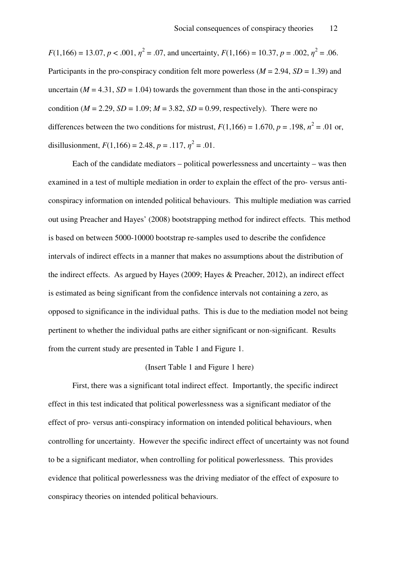$F(1,166) = 13.07, p < .001, \eta^2 = .07$ , and uncertainty,  $F(1,166) = 10.37, p = .002, \eta^2 = .06$ . Participants in the pro-conspiracy condition felt more powerless (*M* = 2.94, *SD* = 1.39) and uncertain  $(M = 4.31, SD = 1.04)$  towards the government than those in the anti-conspiracy condition ( $M = 2.29$ ,  $SD = 1.09$ ;  $M = 3.82$ ,  $SD = 0.99$ , respectively). There were no differences between the two conditions for mistrust,  $F(1,166) = 1.670$ ,  $p = .198$ ,  $n^2 = .01$  or, disillusionment,  $F(1,166) = 2.48$ ,  $p = .117$ ,  $\eta^2 = .01$ .

Each of the candidate mediators – political powerlessness and uncertainty – was then examined in a test of multiple mediation in order to explain the effect of the pro- versus anticonspiracy information on intended political behaviours. This multiple mediation was carried out using Preacher and Hayes' (2008) bootstrapping method for indirect effects. This method is based on between 5000-10000 bootstrap re-samples used to describe the confidence intervals of indirect effects in a manner that makes no assumptions about the distribution of the indirect effects. As argued by Hayes (2009; Hayes & Preacher, 2012), an indirect effect is estimated as being significant from the confidence intervals not containing a zero, as opposed to significance in the individual paths. This is due to the mediation model not being pertinent to whether the individual paths are either significant or non-significant. Results from the current study are presented in Table 1 and Figure 1.

#### (Insert Table 1 and Figure 1 here)

First, there was a significant total indirect effect. Importantly, the specific indirect effect in this test indicated that political powerlessness was a significant mediator of the effect of pro- versus anti-conspiracy information on intended political behaviours, when controlling for uncertainty. However the specific indirect effect of uncertainty was not found to be a significant mediator, when controlling for political powerlessness. This provides evidence that political powerlessness was the driving mediator of the effect of exposure to conspiracy theories on intended political behaviours.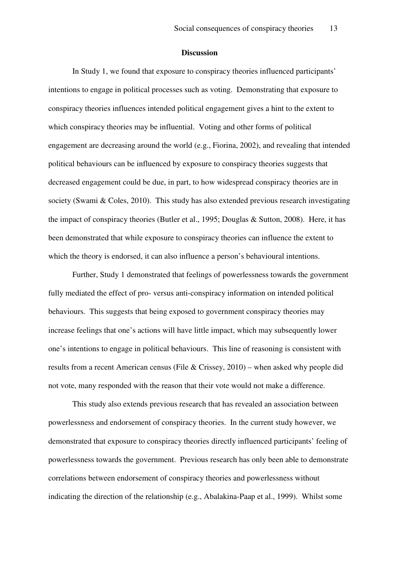#### **Discussion**

In Study 1, we found that exposure to conspiracy theories influenced participants' intentions to engage in political processes such as voting. Demonstrating that exposure to conspiracy theories influences intended political engagement gives a hint to the extent to which conspiracy theories may be influential. Voting and other forms of political engagement are decreasing around the world (e.g., Fiorina, 2002), and revealing that intended political behaviours can be influenced by exposure to conspiracy theories suggests that decreased engagement could be due, in part, to how widespread conspiracy theories are in society (Swami & Coles, 2010). This study has also extended previous research investigating the impact of conspiracy theories (Butler et al., 1995; Douglas & Sutton, 2008). Here, it has been demonstrated that while exposure to conspiracy theories can influence the extent to which the theory is endorsed, it can also influence a person's behavioural intentions.

Further, Study 1 demonstrated that feelings of powerlessness towards the government fully mediated the effect of pro- versus anti-conspiracy information on intended political behaviours. This suggests that being exposed to government conspiracy theories may increase feelings that one's actions will have little impact, which may subsequently lower one's intentions to engage in political behaviours. This line of reasoning is consistent with results from a recent American census (File & Crissey, 2010) – when asked why people did not vote, many responded with the reason that their vote would not make a difference.

This study also extends previous research that has revealed an association between powerlessness and endorsement of conspiracy theories. In the current study however, we demonstrated that exposure to conspiracy theories directly influenced participants' feeling of powerlessness towards the government. Previous research has only been able to demonstrate correlations between endorsement of conspiracy theories and powerlessness without indicating the direction of the relationship (e.g., Abalakina-Paap et al., 1999). Whilst some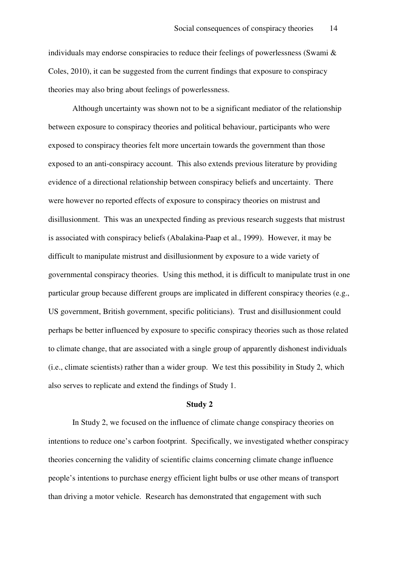individuals may endorse conspiracies to reduce their feelings of powerlessness (Swami & Coles, 2010), it can be suggested from the current findings that exposure to conspiracy theories may also bring about feelings of powerlessness.

Although uncertainty was shown not to be a significant mediator of the relationship between exposure to conspiracy theories and political behaviour, participants who were exposed to conspiracy theories felt more uncertain towards the government than those exposed to an anti-conspiracy account. This also extends previous literature by providing evidence of a directional relationship between conspiracy beliefs and uncertainty. There were however no reported effects of exposure to conspiracy theories on mistrust and disillusionment. This was an unexpected finding as previous research suggests that mistrust is associated with conspiracy beliefs (Abalakina-Paap et al., 1999). However, it may be difficult to manipulate mistrust and disillusionment by exposure to a wide variety of governmental conspiracy theories. Using this method, it is difficult to manipulate trust in one particular group because different groups are implicated in different conspiracy theories (e.g., US government, British government, specific politicians). Trust and disillusionment could perhaps be better influenced by exposure to specific conspiracy theories such as those related to climate change, that are associated with a single group of apparently dishonest individuals (i.e., climate scientists) rather than a wider group. We test this possibility in Study 2, which also serves to replicate and extend the findings of Study 1.

#### **Study 2**

 In Study 2, we focused on the influence of climate change conspiracy theories on intentions to reduce one's carbon footprint. Specifically, we investigated whether conspiracy theories concerning the validity of scientific claims concerning climate change influence people's intentions to purchase energy efficient light bulbs or use other means of transport than driving a motor vehicle. Research has demonstrated that engagement with such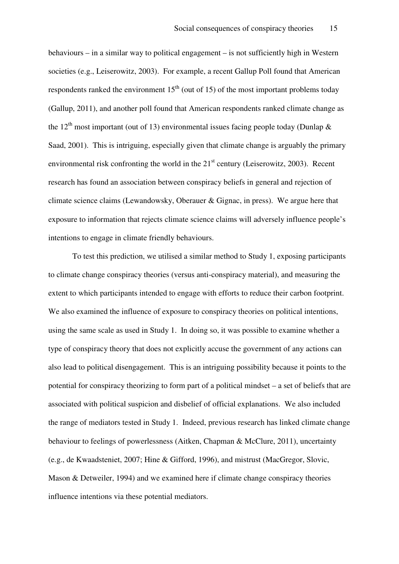behaviours – in a similar way to political engagement – is not sufficiently high in Western societies (e.g., Leiserowitz, 2003). For example, a recent Gallup Poll found that American respondents ranked the environment  $15<sup>th</sup>$  (out of 15) of the most important problems today (Gallup, 2011), and another poll found that American respondents ranked climate change as the 12<sup>th</sup> most important (out of 13) environmental issues facing people today (Dunlap  $\&$ Saad, 2001). This is intriguing, especially given that climate change is arguably the primary environmental risk confronting the world in the  $21<sup>st</sup>$  century (Leiserowitz, 2003). Recent research has found an association between conspiracy beliefs in general and rejection of climate science claims (Lewandowsky, Oberauer & Gignac, in press). We argue here that exposure to information that rejects climate science claims will adversely influence people's intentions to engage in climate friendly behaviours.

To test this prediction, we utilised a similar method to Study 1, exposing participants to climate change conspiracy theories (versus anti-conspiracy material), and measuring the extent to which participants intended to engage with efforts to reduce their carbon footprint. We also examined the influence of exposure to conspiracy theories on political intentions, using the same scale as used in Study 1. In doing so, it was possible to examine whether a type of conspiracy theory that does not explicitly accuse the government of any actions can also lead to political disengagement. This is an intriguing possibility because it points to the potential for conspiracy theorizing to form part of a political mindset – a set of beliefs that are associated with political suspicion and disbelief of official explanations. We also included the range of mediators tested in Study 1. Indeed, previous research has linked climate change behaviour to feelings of powerlessness (Aitken, Chapman & McClure, 2011), uncertainty (e.g., de Kwaadsteniet, 2007; Hine & Gifford, 1996), and mistrust (MacGregor, Slovic, Mason & Detweiler, 1994) and we examined here if climate change conspiracy theories influence intentions via these potential mediators.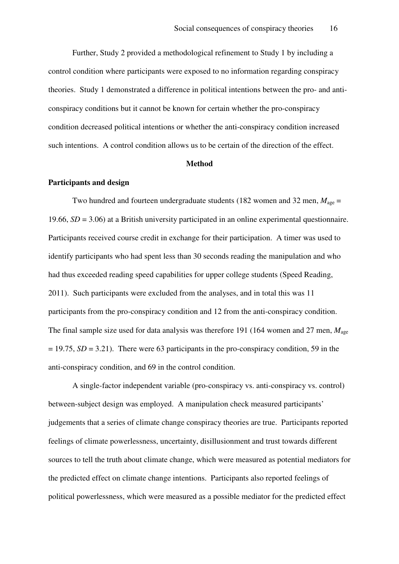Further, Study 2 provided a methodological refinement to Study 1 by including a control condition where participants were exposed to no information regarding conspiracy theories. Study 1 demonstrated a difference in political intentions between the pro- and anticonspiracy conditions but it cannot be known for certain whether the pro-conspiracy condition decreased political intentions or whether the anti-conspiracy condition increased such intentions. A control condition allows us to be certain of the direction of the effect.

#### **Method**

#### **Participants and design**

Two hundred and fourteen undergraduate students (182 women and 32 men,  $M_{\text{age}} =$ 19.66, *SD* = 3.06) at a British university participated in an online experimental questionnaire. Participants received course credit in exchange for their participation. A timer was used to identify participants who had spent less than 30 seconds reading the manipulation and who had thus exceeded reading speed capabilities for upper college students (Speed Reading, 2011). Such participants were excluded from the analyses, and in total this was 11 participants from the pro-conspiracy condition and 12 from the anti-conspiracy condition. The final sample size used for data analysis was therefore 191 (164 women and 27 men, *M*age  $= 19.75$ , *SD* = 3.21). There were 63 participants in the pro-conspiracy condition, 59 in the anti-conspiracy condition, and 69 in the control condition.

A single-factor independent variable (pro-conspiracy vs. anti-conspiracy vs. control) between-subject design was employed. A manipulation check measured participants' judgements that a series of climate change conspiracy theories are true. Participants reported feelings of climate powerlessness, uncertainty, disillusionment and trust towards different sources to tell the truth about climate change, which were measured as potential mediators for the predicted effect on climate change intentions. Participants also reported feelings of political powerlessness, which were measured as a possible mediator for the predicted effect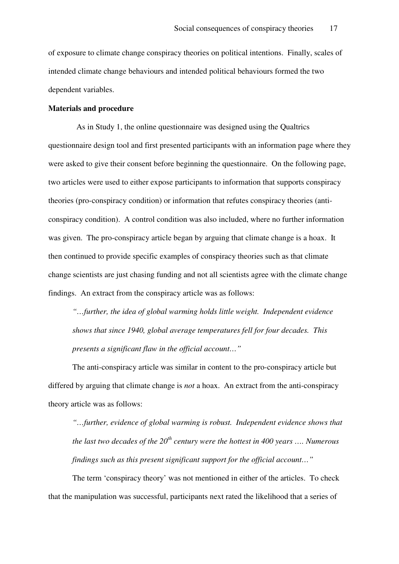of exposure to climate change conspiracy theories on political intentions. Finally, scales of intended climate change behaviours and intended political behaviours formed the two dependent variables.

#### **Materials and procedure**

 As in Study 1, the online questionnaire was designed using the Qualtrics questionnaire design tool and first presented participants with an information page where they were asked to give their consent before beginning the questionnaire. On the following page, two articles were used to either expose participants to information that supports conspiracy theories (pro-conspiracy condition) or information that refutes conspiracy theories (anticonspiracy condition). A control condition was also included, where no further information was given. The pro-conspiracy article began by arguing that climate change is a hoax. It then continued to provide specific examples of conspiracy theories such as that climate change scientists are just chasing funding and not all scientists agree with the climate change findings. An extract from the conspiracy article was as follows:

*"…further, the idea of global warming holds little weight. Independent evidence shows that since 1940, global average temperatures fell for four decades. This presents a significant flaw in the official account…"* 

The anti-conspiracy article was similar in content to the pro-conspiracy article but differed by arguing that climate change is *not* a hoax. An extract from the anti-conspiracy theory article was as follows:

*"…further, evidence of global warming is robust. Independent evidence shows that the last two decades of the 20th century were the hottest in 400 years …. Numerous findings such as this present significant support for the official account…"* 

The term 'conspiracy theory' was not mentioned in either of the articles.To check that the manipulation was successful, participants next rated the likelihood that a series of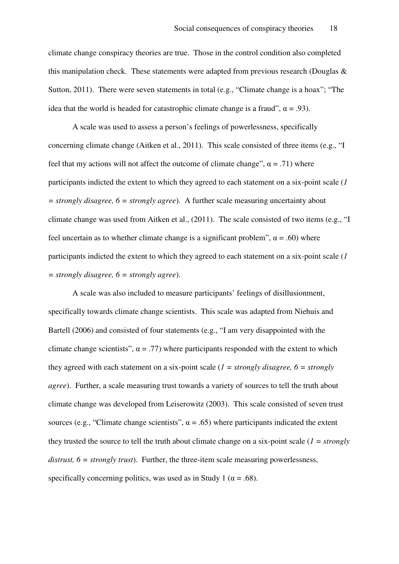climate change conspiracy theories are true. Those in the control condition also completed this manipulation check. These statements were adapted from previous research (Douglas & Sutton, 2011). There were seven statements in total (e.g., "Climate change is a hoax"; "The idea that the world is headed for catastrophic climate change is a fraud",  $\alpha = .93$ ).

A scale was used to assess a person's feelings of powerlessness, specifically concerning climate change (Aitken et al., 2011). This scale consisted of three items (e.g., "I feel that my actions will not affect the outcome of climate change",  $\alpha = .71$ ) where participants indicted the extent to which they agreed to each statement on a six-point scale (*1 = strongly disagree, 6 = strongly agree*). A further scale measuring uncertainty about climate change was used from Aitken et al., (2011). The scale consisted of two items (e.g., "I feel uncertain as to whether climate change is a significant problem",  $\alpha = .60$ ) where participants indicted the extent to which they agreed to each statement on a six-point scale (*1 = strongly disagree, 6 = strongly agree*).

A scale was also included to measure participants' feelings of disillusionment, specifically towards climate change scientists. This scale was adapted from Niehuis and Bartell (2006) and consisted of four statements (e.g., "I am very disappointed with the climate change scientists",  $\alpha = .77$ ) where participants responded with the extent to which they agreed with each statement on a six-point scale (*1 = strongly disagree, 6 = strongly agree*). Further, a scale measuring trust towards a variety of sources to tell the truth about climate change was developed from Leiserowitz (2003). This scale consisted of seven trust sources (e.g., "Climate change scientists",  $\alpha = .65$ ) where participants indicated the extent they trusted the source to tell the truth about climate change on a six-point scale (*1 = strongly distrust, 6 = strongly trust*). Further, the three-item scale measuring powerlessness, specifically concerning politics, was used as in Study 1 ( $\alpha$  = .68).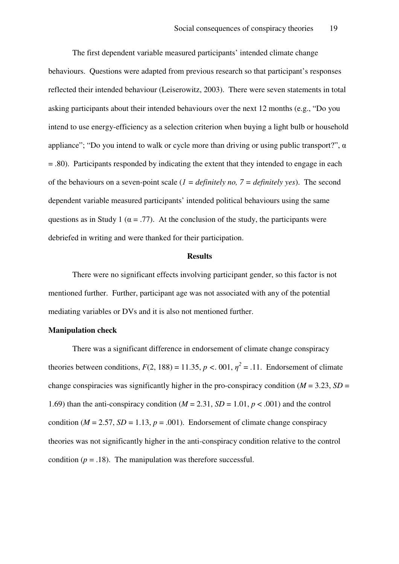The first dependent variable measured participants' intended climate change behaviours. Questions were adapted from previous research so that participant's responses reflected their intended behaviour (Leiserowitz, 2003). There were seven statements in total asking participants about their intended behaviours over the next 12 months (e.g., "Do you intend to use energy-efficiency as a selection criterion when buying a light bulb or household appliance"; "Do you intend to walk or cycle more than driving or using public transport?",  $\alpha$ = .80). Participants responded by indicating the extent that they intended to engage in each of the behaviours on a seven-point scale (*1 = definitely no, 7 = definitely yes*). The second dependent variable measured participants' intended political behaviours using the same questions as in Study 1 ( $\alpha$  = .77). At the conclusion of the study, the participants were debriefed in writing and were thanked for their participation.

#### **Results**

There were no significant effects involving participant gender, so this factor is not mentioned further. Further, participant age was not associated with any of the potential mediating variables or DVs and it is also not mentioned further.

#### **Manipulation check**

There was a significant difference in endorsement of climate change conspiracy theories between conditions,  $F(2, 188) = 11.35$ ,  $p < .001$ ,  $\eta^2 = .11$ . Endorsement of climate change conspiracies was significantly higher in the pro-conspiracy condition ( $M = 3.23$ ,  $SD =$ 1.69) than the anti-conspiracy condition  $(M = 2.31, SD = 1.01, p < .001)$  and the control condition ( $M = 2.57$ ,  $SD = 1.13$ ,  $p = .001$ ). Endorsement of climate change conspiracy theories was not significantly higher in the anti-conspiracy condition relative to the control condition  $(p = .18)$ . The manipulation was therefore successful.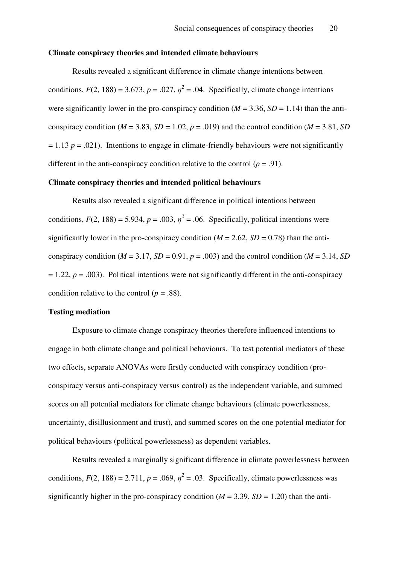#### **Climate conspiracy theories and intended climate behaviours**

Results revealed a significant difference in climate change intentions between conditions,  $F(2, 188) = 3.673$ ,  $p = .027$ ,  $\eta^2 = .04$ . Specifically, climate change intentions were significantly lower in the pro-conspiracy condition ( $M = 3.36$ ,  $SD = 1.14$ ) than the anticonspiracy condition ( $M = 3.83$ ,  $SD = 1.02$ ,  $p = .019$ ) and the control condition ( $M = 3.81$ ,  $SD$  $= 1.13$   $p = .021$ ). Intentions to engage in climate-friendly behaviours were not significantly different in the anti-conspiracy condition relative to the control  $(p = .91)$ .

#### **Climate conspiracy theories and intended political behaviours**

Results also revealed a significant difference in political intentions between conditions,  $F(2, 188) = 5.934$ ,  $p = .003$ ,  $\eta^2 = .06$ . Specifically, political intentions were significantly lower in the pro-conspiracy condition ( $M = 2.62$ ,  $SD = 0.78$ ) than the anticonspiracy condition ( $M = 3.17$ ,  $SD = 0.91$ ,  $p = .003$ ) and the control condition ( $M = 3.14$ ,  $SD$ )  $= 1.22$ ,  $p = .003$ ). Political intentions were not significantly different in the anti-conspiracy condition relative to the control ( $p = .88$ ).

#### **Testing mediation**

Exposure to climate change conspiracy theories therefore influenced intentions to engage in both climate change and political behaviours. To test potential mediators of these two effects, separate ANOVAs were firstly conducted with conspiracy condition (proconspiracy versus anti-conspiracy versus control) as the independent variable, and summed scores on all potential mediators for climate change behaviours (climate powerlessness, uncertainty, disillusionment and trust), and summed scores on the one potential mediator for political behaviours (political powerlessness) as dependent variables.

Results revealed a marginally significant difference in climate powerlessness between conditions,  $F(2, 188) = 2.711$ ,  $p = .069$ ,  $\eta^2 = .03$ . Specifically, climate powerlessness was significantly higher in the pro-conspiracy condition  $(M = 3.39, SD = 1.20)$  than the anti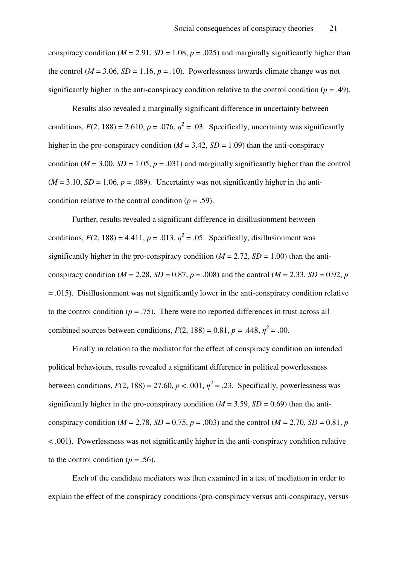conspiracy condition ( $M = 2.91$ ,  $SD = 1.08$ ,  $p = .025$ ) and marginally significantly higher than the control ( $M = 3.06$ ,  $SD = 1.16$ ,  $p = .10$ ). Powerlessness towards climate change was not significantly higher in the anti-conspiracy condition relative to the control condition ( $p = .49$ ).

Results also revealed a marginally significant difference in uncertainty between conditions,  $F(2, 188) = 2.610$ ,  $p = .076$ ,  $\eta^2 = .03$ . Specifically, uncertainty was significantly higher in the pro-conspiracy condition  $(M = 3.42, SD = 1.09)$  than the anti-conspiracy condition ( $M = 3.00$ ,  $SD = 1.05$ ,  $p = .031$ ) and marginally significantly higher than the control  $(M = 3.10, SD = 1.06, p = .089)$ . Uncertainty was not significantly higher in the anticondition relative to the control condition ( $p = .59$ ).

Further, results revealed a significant difference in disillusionment between conditions,  $F(2, 188) = 4.411$ ,  $p = .013$ ,  $\eta^2 = .05$ . Specifically, disillusionment was significantly higher in the pro-conspiracy condition  $(M = 2.72, SD = 1.00)$  than the anticonspiracy condition ( $M = 2.28$ ,  $SD = 0.87$ ,  $p = .008$ ) and the control ( $M = 2.33$ ,  $SD = 0.92$ ,  $p = 0.92$ )  $= .015$ ). Disillusionment was not significantly lower in the anti-conspiracy condition relative to the control condition ( $p = .75$ ). There were no reported differences in trust across all combined sources between conditions,  $F(2, 188) = 0.81$ ,  $p = .448$ ,  $\eta^2 = .00$ .

Finally in relation to the mediator for the effect of conspiracy condition on intended political behaviours, results revealed a significant difference in political powerlessness between conditions,  $F(2, 188) = 27.60$ ,  $p < 0.01$ ,  $\eta^2 = .23$ . Specifically, powerlessness was significantly higher in the pro-conspiracy condition  $(M = 3.59, SD = 0.69)$  than the anticonspiracy condition ( $M = 2.78$ ,  $SD = 0.75$ ,  $p = .003$ ) and the control ( $M = 2.70$ ,  $SD = 0.81$ ,  $p = .003$ ) < .001). Powerlessness was not significantly higher in the anti-conspiracy condition relative to the control condition ( $p = .56$ ).

Each of the candidate mediators was then examined in a test of mediation in order to explain the effect of the conspiracy conditions (pro-conspiracy versus anti-conspiracy, versus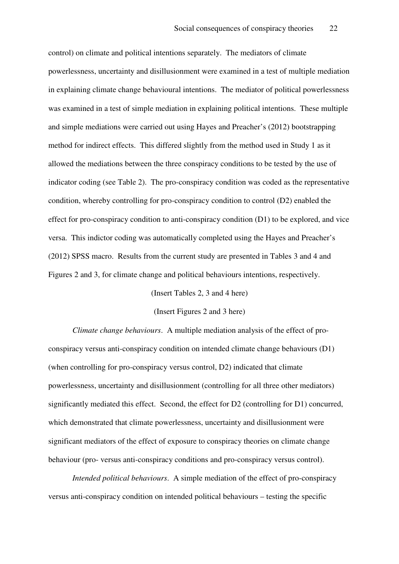control) on climate and political intentions separately. The mediators of climate powerlessness, uncertainty and disillusionment were examined in a test of multiple mediation in explaining climate change behavioural intentions. The mediator of political powerlessness was examined in a test of simple mediation in explaining political intentions. These multiple and simple mediations were carried out using Hayes and Preacher's (2012) bootstrapping method for indirect effects. This differed slightly from the method used in Study 1 as it allowed the mediations between the three conspiracy conditions to be tested by the use of indicator coding (see Table 2). The pro-conspiracy condition was coded as the representative condition, whereby controlling for pro-conspiracy condition to control (D2) enabled the effect for pro-conspiracy condition to anti-conspiracy condition (D1) to be explored, and vice versa. This indictor coding was automatically completed using the Hayes and Preacher's (2012) SPSS macro. Results from the current study are presented in Tables 3 and 4 and Figures 2 and 3, for climate change and political behaviours intentions, respectively.

(Insert Tables 2, 3 and 4 here)

(Insert Figures 2 and 3 here)

*Climate change behaviours*. A multiple mediation analysis of the effect of proconspiracy versus anti-conspiracy condition on intended climate change behaviours (D1) (when controlling for pro-conspiracy versus control, D2) indicated that climate powerlessness, uncertainty and disillusionment (controlling for all three other mediators) significantly mediated this effect. Second, the effect for D2 (controlling for D1) concurred, which demonstrated that climate powerlessness, uncertainty and disillusionment were significant mediators of the effect of exposure to conspiracy theories on climate change behaviour (pro- versus anti-conspiracy conditions and pro-conspiracy versus control).

*Intended political behaviours*. A simple mediation of the effect of pro-conspiracy versus anti-conspiracy condition on intended political behaviours – testing the specific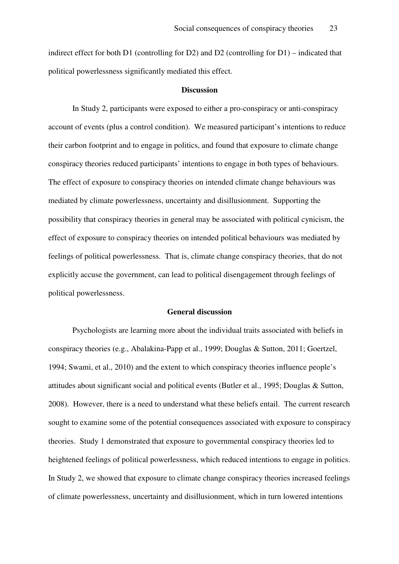indirect effect for both D1 (controlling for D2) and D2 (controlling for D1) – indicated that political powerlessness significantly mediated this effect.

#### **Discussion**

 In Study 2, participants were exposed to either a pro-conspiracy or anti-conspiracy account of events (plus a control condition). We measured participant's intentions to reduce their carbon footprint and to engage in politics, and found that exposure to climate change conspiracy theories reduced participants' intentions to engage in both types of behaviours. The effect of exposure to conspiracy theories on intended climate change behaviours was mediated by climate powerlessness, uncertainty and disillusionment. Supporting the possibility that conspiracy theories in general may be associated with political cynicism, the effect of exposure to conspiracy theories on intended political behaviours was mediated by feelings of political powerlessness. That is, climate change conspiracy theories, that do not explicitly accuse the government, can lead to political disengagement through feelings of political powerlessness.

#### **General discussion**

Psychologists are learning more about the individual traits associated with beliefs in conspiracy theories (e.g., Abalakina-Papp et al., 1999; Douglas & Sutton, 2011; Goertzel, 1994; Swami, et al., 2010) and the extent to which conspiracy theories influence people's attitudes about significant social and political events (Butler et al., 1995; Douglas & Sutton, 2008). However, there is a need to understand what these beliefs entail. The current research sought to examine some of the potential consequences associated with exposure to conspiracy theories. Study 1 demonstrated that exposure to governmental conspiracy theories led to heightened feelings of political powerlessness, which reduced intentions to engage in politics. In Study 2, we showed that exposure to climate change conspiracy theories increased feelings of climate powerlessness, uncertainty and disillusionment, which in turn lowered intentions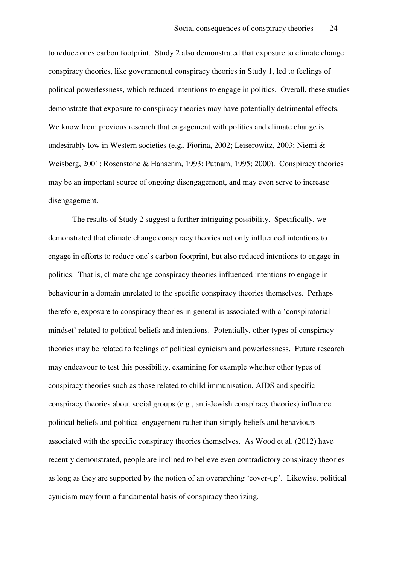to reduce ones carbon footprint. Study 2 also demonstrated that exposure to climate change conspiracy theories, like governmental conspiracy theories in Study 1, led to feelings of political powerlessness, which reduced intentions to engage in politics. Overall, these studies demonstrate that exposure to conspiracy theories may have potentially detrimental effects. We know from previous research that engagement with politics and climate change is undesirably low in Western societies (e.g., Fiorina, 2002; Leiserowitz, 2003; Niemi & Weisberg, 2001; Rosenstone & Hansenm, 1993; Putnam, 1995; 2000). Conspiracy theories may be an important source of ongoing disengagement, and may even serve to increase disengagement.

The results of Study 2 suggest a further intriguing possibility. Specifically, we demonstrated that climate change conspiracy theories not only influenced intentions to engage in efforts to reduce one's carbon footprint, but also reduced intentions to engage in politics. That is, climate change conspiracy theories influenced intentions to engage in behaviour in a domain unrelated to the specific conspiracy theories themselves. Perhaps therefore, exposure to conspiracy theories in general is associated with a 'conspiratorial mindset' related to political beliefs and intentions. Potentially, other types of conspiracy theories may be related to feelings of political cynicism and powerlessness. Future research may endeavour to test this possibility, examining for example whether other types of conspiracy theories such as those related to child immunisation, AIDS and specific conspiracy theories about social groups (e.g., anti-Jewish conspiracy theories) influence political beliefs and political engagement rather than simply beliefs and behaviours associated with the specific conspiracy theories themselves. As Wood et al. (2012) have recently demonstrated, people are inclined to believe even contradictory conspiracy theories as long as they are supported by the notion of an overarching 'cover-up'. Likewise, political cynicism may form a fundamental basis of conspiracy theorizing.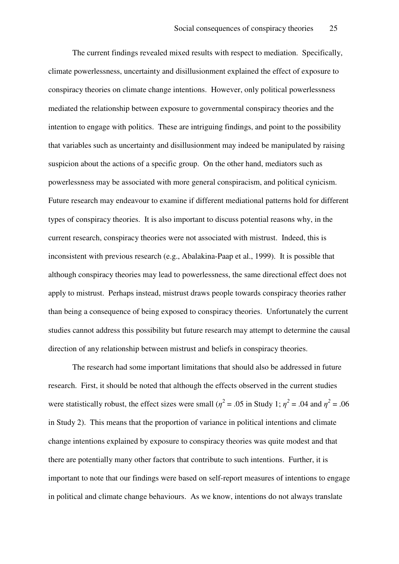The current findings revealed mixed results with respect to mediation. Specifically, climate powerlessness, uncertainty and disillusionment explained the effect of exposure to conspiracy theories on climate change intentions. However, only political powerlessness mediated the relationship between exposure to governmental conspiracy theories and the intention to engage with politics. These are intriguing findings, and point to the possibility that variables such as uncertainty and disillusionment may indeed be manipulated by raising suspicion about the actions of a specific group. On the other hand, mediators such as powerlessness may be associated with more general conspiracism, and political cynicism. Future research may endeavour to examine if different mediational patterns hold for different types of conspiracy theories. It is also important to discuss potential reasons why, in the current research, conspiracy theories were not associated with mistrust. Indeed, this is inconsistent with previous research (e.g., Abalakina-Paap et al., 1999). It is possible that although conspiracy theories may lead to powerlessness, the same directional effect does not apply to mistrust. Perhaps instead, mistrust draws people towards conspiracy theories rather than being a consequence of being exposed to conspiracy theories. Unfortunately the current studies cannot address this possibility but future research may attempt to determine the causal direction of any relationship between mistrust and beliefs in conspiracy theories.

The research had some important limitations that should also be addressed in future research. First, it should be noted that although the effects observed in the current studies were statistically robust, the effect sizes were small ( $\eta^2$  = .05 in Study 1;  $\eta^2$  = .04 and  $\eta^2$  = .06 in Study 2). This means that the proportion of variance in political intentions and climate change intentions explained by exposure to conspiracy theories was quite modest and that there are potentially many other factors that contribute to such intentions. Further, it is important to note that our findings were based on self-report measures of intentions to engage in political and climate change behaviours. As we know, intentions do not always translate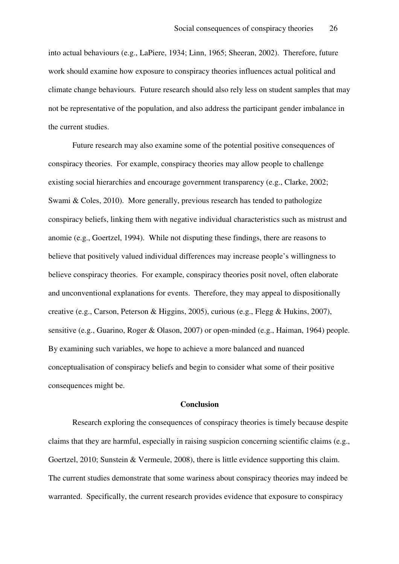into actual behaviours (e.g., LaPiere, 1934; Linn, 1965; Sheeran, 2002). Therefore, future work should examine how exposure to conspiracy theories influences actual political and climate change behaviours. Future research should also rely less on student samples that may not be representative of the population, and also address the participant gender imbalance in the current studies.

Future research may also examine some of the potential positive consequences of conspiracy theories. For example, conspiracy theories may allow people to challenge existing social hierarchies and encourage government transparency (e.g., Clarke, 2002; Swami & Coles, 2010). More generally, previous research has tended to pathologize conspiracy beliefs, linking them with negative individual characteristics such as mistrust and anomie (e.g., Goertzel, 1994). While not disputing these findings, there are reasons to believe that positively valued individual differences may increase people's willingness to believe conspiracy theories. For example, conspiracy theories posit novel, often elaborate and unconventional explanations for events. Therefore, they may appeal to dispositionally creative (e.g., Carson, Peterson & Higgins, 2005), curious (e.g., Flegg & Hukins, 2007), sensitive (e.g., Guarino, Roger & Olason, 2007) or open-minded (e.g., Haiman, 1964) people. By examining such variables, we hope to achieve a more balanced and nuanced conceptualisation of conspiracy beliefs and begin to consider what some of their positive consequences might be.

#### **Conclusion**

Research exploring the consequences of conspiracy theories is timely because despite claims that they are harmful, especially in raising suspicion concerning scientific claims (e.g., Goertzel, 2010; Sunstein & Vermeule, 2008), there is little evidence supporting this claim. The current studies demonstrate that some wariness about conspiracy theories may indeed be warranted. Specifically, the current research provides evidence that exposure to conspiracy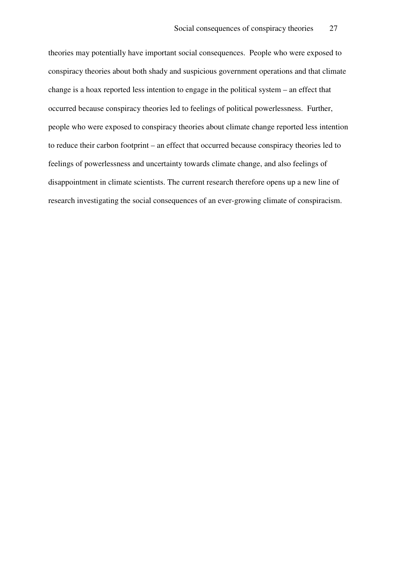theories may potentially have important social consequences. People who were exposed to conspiracy theories about both shady and suspicious government operations and that climate change is a hoax reported less intention to engage in the political system – an effect that occurred because conspiracy theories led to feelings of political powerlessness. Further, people who were exposed to conspiracy theories about climate change reported less intention to reduce their carbon footprint – an effect that occurred because conspiracy theories led to feelings of powerlessness and uncertainty towards climate change, and also feelings of disappointment in climate scientists. The current research therefore opens up a new line of research investigating the social consequences of an ever-growing climate of conspiracism.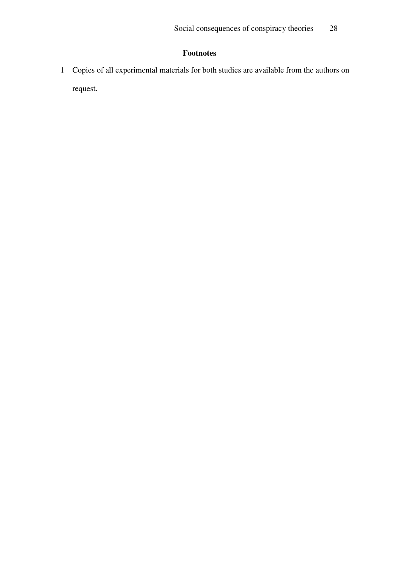# **Footnotes**

1 Copies of all experimental materials for both studies are available from the authors on request.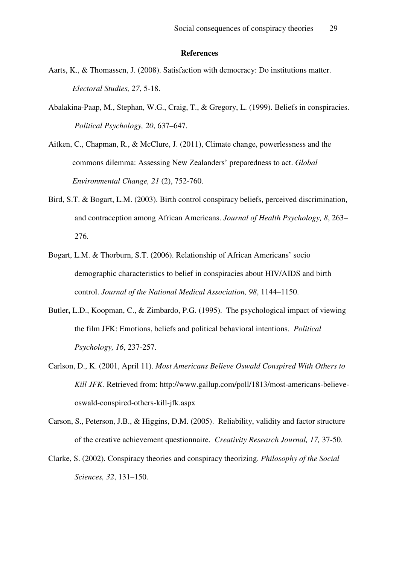#### **References**

- Aarts, K., & Thomassen, J. (2008). Satisfaction with democracy: Do institutions matter. *Electoral Studies, 27*, 5-18.
- Abalakina-Paap, M., Stephan, W.G., Craig, T., & Gregory, L. (1999). Beliefs in conspiracies. *Political Psychology, 20*, 637–647.

Aitken, C., Chapman, R., & McClure, J. (2011), Climate change, powerlessness and the commons dilemma: Assessing New Zealanders' preparedness to act. *Global Environmental Change, 21* (2), 752-760.

- Bird, S.T. & Bogart, L.M. (2003). Birth control conspiracy beliefs, perceived discrimination, and contraception among African Americans. *Journal of Health Psychology, 8*, 263– 276.
- Bogart, L.M. & Thorburn, S.T. (2006). Relationship of African Americans' socio demographic characteristics to belief in conspiracies about HIV/AIDS and birth control. *Journal of the National Medical Association, 98*, 1144–1150.
- Butler**,** L.D., Koopman, C., & Zimbardo, P.G. (1995). The psychological impact of viewing the film JFK: Emotions, beliefs and political behavioral intentions. *Political Psychology, 16*, 237-257.
- Carlson, D., K. (2001, April 11). *Most Americans Believe Oswald Conspired With Others to Kill JFK.* Retrieved from: http://www.gallup.com/poll/1813/most-americans-believeoswald-conspired-others-kill-jfk.aspx
- Carson, S., Peterson, J.B., & Higgins, D.M. (2005). Reliability, validity and factor structure of the creative achievement questionnaire. *Creativity Research Journal, 17,* 37-50.
- Clarke, S. (2002). Conspiracy theories and conspiracy theorizing. *Philosophy of the Social Sciences, 32*, 131–150.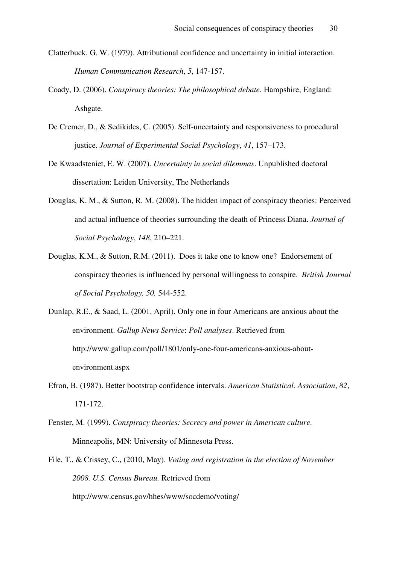- Clatterbuck, G. W. (1979). Attributional confidence and uncertainty in initial interaction. *Human Communication Research*, *5*, 147-157.
- Coady, D. (2006). *Conspiracy theories: The philosophical debate*. Hampshire, England: Ashgate.
- De Cremer, D., & Sedikides, C. (2005). Self-uncertainty and responsiveness to procedural justice. *Journal of Experimental Social Psychology*, *41*, 157–173.
- De Kwaadsteniet, E. W. (2007). *Uncertainty in social dilemmas*. Unpublished doctoral dissertation: Leiden University, The Netherlands
- Douglas, K. M., & Sutton, R. M. (2008). The hidden impact of conspiracy theories: Perceived and actual influence of theories surrounding the death of Princess Diana. *Journal of Social Psychology*, *148*, 210–221.
- Douglas, K.M., & Sutton, R.M. (2011). Does it take one to know one? Endorsement of conspiracy theories is influenced by personal willingness to conspire. *British Journal of Social Psychology, 50,* 544-552.
- Dunlap, R.E., & Saad, L. (2001, April). Only one in four Americans are anxious about the environment. *Gallup News Service*: *Poll analyses*. Retrieved from http://www.gallup.com/poll/1801/only-one-four-americans-anxious-aboutenvironment.aspx
- Efron, B. (1987). Better bootstrap confidence intervals. *American Statistical. Association*, *82*, 171-172.
- Fenster, M. (1999). *Conspiracy theories: Secrecy and power in American culture*. Minneapolis, MN: University of Minnesota Press.
- File, T., & Crissey, C., (2010, May). *Voting and registration in the election of November 2008. U.S. Census Bureau.* Retrieved from

http://www.census.gov/hhes/www/socdemo/voting/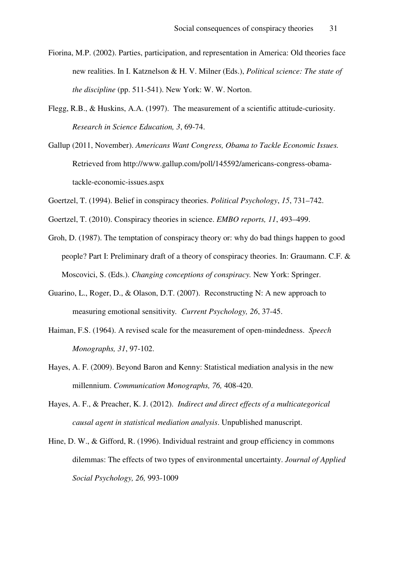- Fiorina, M.P. (2002). Parties, participation, and representation in America: Old theories face new realities. In I. Katznelson & H. V. Milner (Eds.), *Political science: The state of the discipline* (pp. 511-541). New York: W. W. Norton.
- Flegg, R.B., & Huskins, A.A. (1997). The measurement of a scientific attitude-curiosity. *Research in Science Education, 3*, 69-74.
- Gallup (2011, November). *Americans Want Congress, Obama to Tackle Economic Issues.*  Retrieved from http://www.gallup.com/poll/145592/americans-congress-obamatackle-economic-issues.aspx
- Goertzel, T. (1994). Belief in conspiracy theories. *Political Psychology*, *15*, 731–742.
- Goertzel, T. (2010). Conspiracy theories in science. *EMBO reports, 11*, 493–499.
- Groh, D. (1987). The temptation of conspiracy theory or: why do bad things happen to good people? Part I: Preliminary draft of a theory of conspiracy theories. In: Graumann. C.F. & Moscovici, S. (Eds.). *Changing conceptions of conspiracy.* New York: Springer.
- Guarino, L., Roger, D., & Olason, D.T. (2007). Reconstructing N: A new approach to measuring emotional sensitivity*. Current Psychology, 26*, 37-45.
- Haiman, F.S. (1964). A revised scale for the measurement of open-mindedness. *Speech Monographs, 31*, 97-102.
- Hayes, A. F. (2009). Beyond Baron and Kenny: Statistical mediation analysis in the new millennium. *Communication Monographs, 76,* 408-420.
- Hayes, A. F., & Preacher, K. J. (2012). *Indirect and direct effects of a multicategorical causal agent in statistical mediation analysis*. Unpublished manuscript.
- Hine, D. W., & Gifford, R. (1996). Individual restraint and group efficiency in commons dilemmas: The effects of two types of environmental uncertainty. *Journal of Applied Social Psychology, 26,* 993-1009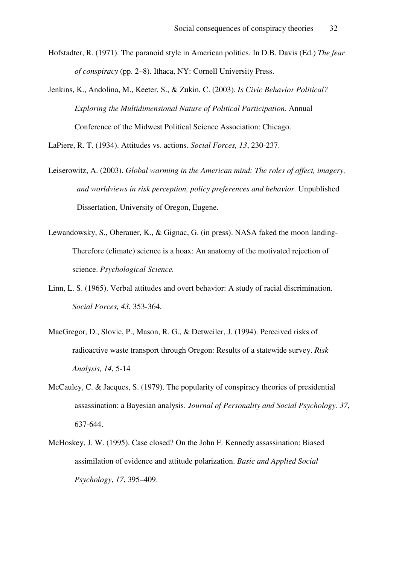- Hofstadter, R. (1971). The paranoid style in American politics. In D.B. Davis (Ed.) *The fear of conspiracy* (pp. 2–8). Ithaca, NY: Cornell University Press.
- Jenkins, K., Andolina, M., Keeter, S., & Zukin, C. (2003). *Is Civic Behavior Political? Exploring the Multidimensional Nature of Political Participation*. Annual Conference of the Midwest Political Science Association: Chicago.

LaPiere, R. T. (1934). Attitudes vs. actions. *Social Forces, 13*, 230-237.

- Leiserowitz, A. (2003). *Global warming in the American mind: The roles of affect, imagery, and worldviews in risk perception, policy preferences and behavior.* Unpublished Dissertation, University of Oregon, Eugene.
- Lewandowsky, S., Oberauer, K., & Gignac, G. (in press). NASA faked the moon landing-Therefore (climate) science is a hoax: An anatomy of the motivated rejection of science. *Psychological Science.*
- Linn, L. S. (1965). Verbal attitudes and overt behavior: A study of racial discrimination. *Social Forces, 43*, 353-364.
- MacGregor, D., Slovic, P., Mason, R. G., & Detweiler, J. (1994). Perceived risks of radioactive waste transport through Oregon: Results of a statewide survey. *Risk Analysis, 14*, 5-14
- McCauley, C. & Jacques, S. (1979). The popularity of conspiracy theories of presidential assassination: a Bayesian analysis. *Journal of Personality and Social Psychology. 37*, 637-644.
- McHoskey, J. W. (1995). Case closed? On the John F. Kennedy assassination: Biased assimilation of evidence and attitude polarization. *Basic and Applied Social Psychology*, *17*, 395–409.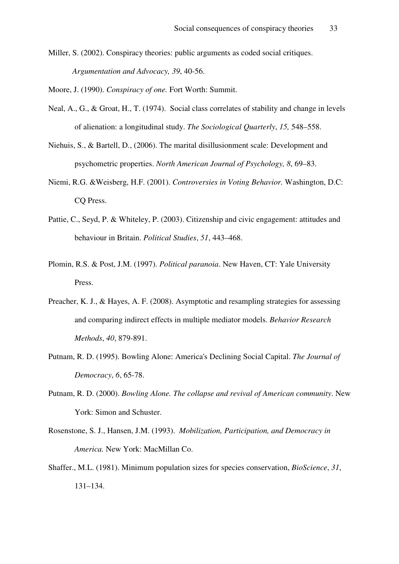Miller, S. (2002). Conspiracy theories: public arguments as coded social critiques. *Argumentation and Advocacy, 39*, 40-56.

Moore, J. (1990). *Conspiracy of one.* Fort Worth: Summit.

- Neal, A., G., & Groat, H., T. (1974). Social class correlates of stability and change in levels of alienation: a longitudinal study. *The Sociological Quarterly*, *15,* 548–558.
- Niehuis, S., & Bartell, D., (2006). The marital disillusionment scale: Development and psychometric properties. *North American Journal of Psychology, 8*, 69–83.
- Niemi, R.G. &Weisberg, H.F. (2001). *Controversies in Voting Behavior.* Washington, D.C: CQ Press.
- Pattie, C., Seyd, P. & Whiteley, P. (2003). Citizenship and civic engagement: attitudes and behaviour in Britain. *Political Studies*, *51*, 443–468.
- Plomin, R.S. & Post, J.M. (1997). *Political paranoia*. New Haven, CT: Yale University Press.
- Preacher, K. J., & Hayes, A. F. (2008). Asymptotic and resampling strategies for assessing and comparing indirect effects in multiple mediator models. *Behavior Research Methods*, *40*, 879-891.
- Putnam, R. D. (1995). Bowling Alone: America's Declining Social Capital. *The Journal of Democracy*, *6*, 65-78.
- Putnam, R. D. (2000). *Bowling Alone. The collapse and revival of American community*. New York: Simon and Schuster.
- Rosenstone, S. J., Hansen, J.M. (1993). *Mobilization, Participation, and Democracy in America.* New York: MacMillan Co.
- Shaffer., M.L. (1981). Minimum population sizes for species conservation, *BioScience*, *31*, 131–134.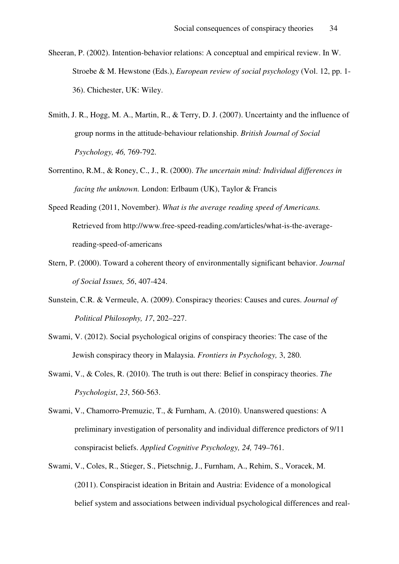- Sheeran, P. (2002). Intention-behavior relations: A conceptual and empirical review. In W. Stroebe & M. Hewstone (Eds.), *European review of social psychology* (Vol. 12, pp. 1- 36). Chichester, UK: Wiley.
- Smith, J. R., Hogg, M. A., Martin, R., & Terry, D. J. (2007). Uncertainty and the influence of group norms in the attitude-behaviour relationship. *British Journal of Social Psychology, 46,* 769-792.
- Sorrentino, R.M., & Roney, C., J., R. (2000). *The uncertain mind: Individual differences in facing the unknown.* London: Erlbaum (UK), Taylor & Francis
- Speed Reading (2011, November). *What is the average reading speed of Americans.*  Retrieved from http://www.free-speed-reading.com/articles/what-is-the-averagereading-speed-of-americans
- Stern, P. (2000). Toward a coherent theory of environmentally significant behavior. *Journal of Social Issues, 56*, 407-424.
- Sunstein, C.R. & Vermeule, A. (2009). Conspiracy theories: Causes and cures. *Journal of Political Philosophy, 17*, 202–227.
- Swami, V. (2012). Social psychological origins of conspiracy theories: The case of the Jewish conspiracy theory in Malaysia. *Frontiers in Psychology,* 3, 280.
- Swami, V., & Coles, R. (2010). The truth is out there: Belief in conspiracy theories. *The Psychologist*, *23*, 560-563.
- Swami, V., Chamorro-Premuzic, T., & Furnham, A. (2010). Unanswered questions: A preliminary investigation of personality and individual difference predictors of 9/11 conspiracist beliefs. *Applied Cognitive Psychology, 24,* 749–761.
- Swami, V., Coles, R., Stieger, S., Pietschnig, J., Furnham, A., Rehim, S., Voracek, M. (2011). Conspiracist ideation in Britain and Austria: Evidence of a monological belief system and associations between individual psychological differences and real-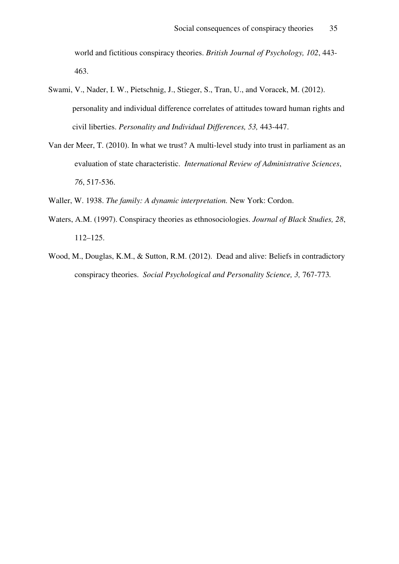world and fictitious conspiracy theories. *British Journal of Psychology, 102*, 443- 463.

- Swami, V., Nader, I. W., Pietschnig, J., Stieger, S., Tran, U., and Voracek, M. (2012). personality and individual difference correlates of attitudes toward human rights and civil liberties. *Personality and Individual Differences, 53,* 443-447.
- Van der Meer, T. (2010). In what we trust? A multi-level study into trust in parliament as an evaluation of state characteristic. *International Review of Administrative Sciences*, *76*, 517-536.

Waller, W. 1938. *The family: A dynamic interpretation.* New York: Cordon.

- Waters, A.M. (1997). Conspiracy theories as ethnosociologies. *Journal of Black Studies, 28*, 112–125.
- Wood, M., Douglas, K.M., & Sutton, R.M. (2012). Dead and alive: Beliefs in contradictory conspiracy theories. *Social Psychological and Personality Science, 3,* 767-773*.*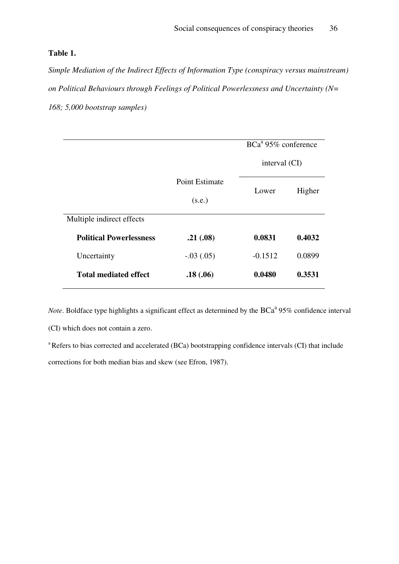## **Table 1.**

*Simple Mediation of the Indirect Effects of Information Type (conspiracy versus mainstream) on Political Behaviours through Feelings of Political Powerlessness and Uncertainty (N= 168; 5,000 bootstrap samples)*

|                                |                                 | $BCa^a$ 95% conference |        |  |
|--------------------------------|---------------------------------|------------------------|--------|--|
|                                |                                 | interval (CI)          |        |  |
|                                | <b>Point Estimate</b><br>(s.e.) | Lower                  | Higher |  |
| Multiple indirect effects      |                                 |                        |        |  |
| <b>Political Powerlessness</b> | .21(.08)                        | 0.0831                 |        |  |
| Uncertainty                    | $-.03(.05)$                     | $-0.1512$              | 0.0899 |  |
| <b>Total mediated effect</b>   | .18(.06)                        | 0.0480                 | 0.3531 |  |

*Note*. Boldface type highlights a significant effect as determined by the BCa<sup>a</sup> 95% confidence interval

(CI) which does not contain a zero.

<sup>a</sup>Refers to bias corrected and accelerated (BCa) bootstrapping confidence intervals (CI) that include corrections for both median bias and skew (see Efron, 1987).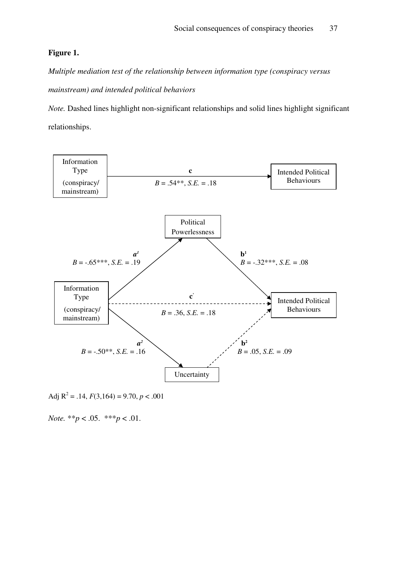## **Figure 1.**

*Multiple mediation test of the relationship between information type (conspiracy versus mainstream) and intended political behaviors* 

*Note.* Dashed lines highlight non-significant relationships and solid lines highlight significant relationships.



Adj  $R^2 = .14$ ,  $F(3,164) = 9.70$ ,  $p < .001$ 

*Note.* \*\**p* < .05. \*\*\**p* < .01.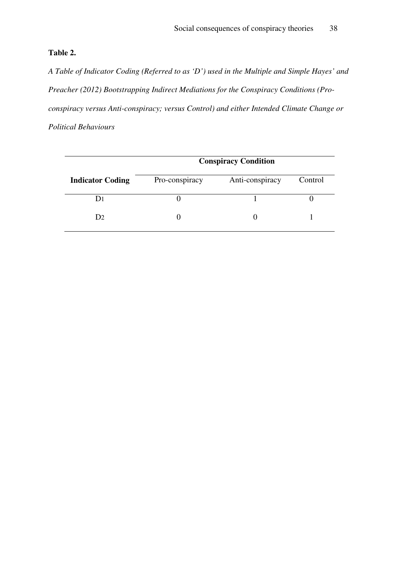# **Table 2.**

*A Table of Indicator Coding (Referred to as 'D') used in the Multiple and Simple Hayes' and Preacher (2012) Bootstrapping Indirect Mediations for the Conspiracy Conditions (Proconspiracy versus Anti-conspiracy; versus Control) and either Intended Climate Change or Political Behaviours* 

|                         | <b>Conspiracy Condition</b> |                 |         |  |  |  |
|-------------------------|-----------------------------|-----------------|---------|--|--|--|
| <b>Indicator Coding</b> | Pro-conspiracy              | Anti-conspiracy | Control |  |  |  |
|                         |                             |                 |         |  |  |  |
| D2                      |                             |                 |         |  |  |  |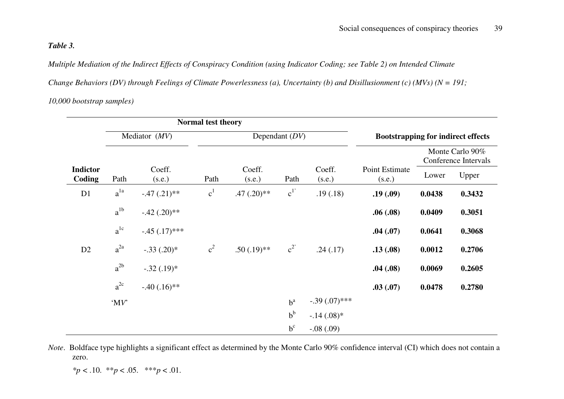## *Table 3.*

*Multiple Mediation of the Indirect Effects of Conspiracy Condition (using Indicator Coding; see Table 2) on Intended Climate* 

*Change Behaviors (DV) through Feelings of Climate Powerlessness (a), Uncertainty (b) and Disillusionment (c) (MVs) (N = 191;* 

## *10,000 bootstrap samples)*

|                           | <b>Normal test theory</b> |                  |                  |                  |                |                  |                                           |                                         |        |
|---------------------------|---------------------------|------------------|------------------|------------------|----------------|------------------|-------------------------------------------|-----------------------------------------|--------|
| Mediator (MV)             |                           |                  | Dependant $(DV)$ |                  |                |                  | <b>Bootstrapping for indirect effects</b> |                                         |        |
|                           |                           |                  |                  |                  |                |                  |                                           | Monte Carlo 90%<br>Conference Intervals |        |
| <b>Indictor</b><br>Coding | Path                      | Coeff.<br>(s.e.) | Path             | Coeff.<br>(s.e.) | Path           | Coeff.<br>(s.e.) | Point Estimate<br>(s.e.)                  | Lower                                   | Upper  |
| D1                        | $a^{1a}$                  | $-.47(.21)$ **   | c <sup>1</sup>   | $.47(.20)$ **    | c <sup>1</sup> | .19(0.18)        | .19(.09)                                  | 0.0438                                  | 0.3432 |
|                           | $a^{1b}$                  | $-.42(.20)$ **   |                  |                  |                |                  | .06(.08)                                  | 0.0409                                  | 0.3051 |
|                           | $a^{1c}$                  | $-.45(.17)$ ***  |                  |                  |                |                  | .04(.07)                                  | 0.0641                                  | 0.3068 |
| D2                        | $a^{2a}$                  | $-.33(.20)*$     | $c^2$            | $.50(.19)$ **    | $c^2$          | .24(.17)         | .13(.08)                                  | 0.0012                                  | 0.2706 |
|                           | $a^{2b}$                  | $-.32(.19)*$     |                  |                  |                |                  | .04(.08)                                  | 0.0069                                  | 0.2605 |
|                           | $a^{2c}$                  | $-.40(.16)$ **   |                  |                  |                |                  | .03(.07)                                  | 0.0478                                  | 0.2780 |
|                           | $^{\circ}MV$              |                  |                  |                  | $b^a$          | $-.39(.07)$ ***  |                                           |                                         |        |
|                           |                           |                  |                  |                  | $b^b$          | $-.14(.08)*$     |                                           |                                         |        |
|                           |                           |                  |                  |                  | $b^c$          | $-.08(.09)$      |                                           |                                         |        |

*Note*. Boldface type highlights a significant effect as determined by the Monte Carlo 90% confidence interval (CI) which does not contain a zero.

$$
*p < .10. \quad **p < .05. \quad ***p < .01.
$$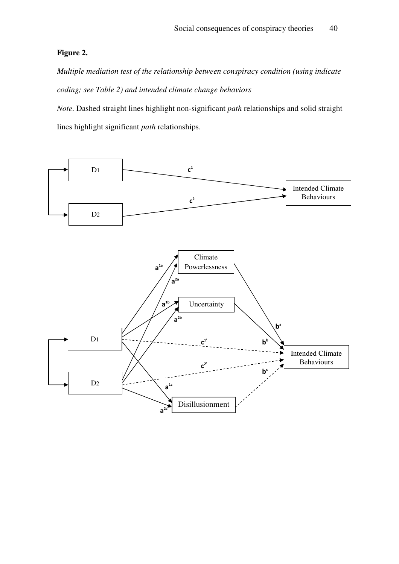# **Figure 2.**

*Multiple mediation test of the relationship between conspiracy condition (using indicate coding; see Table 2) and intended climate change behaviors* 

*Note*. Dashed straight lines highlight non-significant *path* relationships and solid straight lines highlight significant *path* relationships.

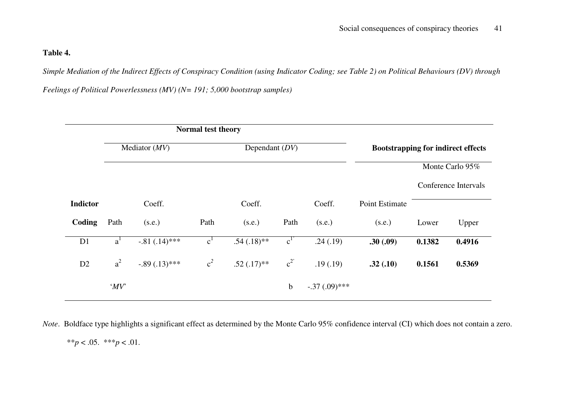## **Table 4.**

*Simple Mediation of the Indirect Effects of Conspiracy Condition (using Indicator Coding; see Table 2) on Political Behaviours (DV) through* 

*Feelings of Political Powerlessness (MV) (N= 191; 5,000 bootstrap samples)*

|                 | Normal test theory |                 |                |                  |             |                 |                                           |        |                      |
|-----------------|--------------------|-----------------|----------------|------------------|-------------|-----------------|-------------------------------------------|--------|----------------------|
|                 | Mediator $(MV)$    |                 |                | Dependant $(DV)$ |             |                 | <b>Bootstrapping for indirect effects</b> |        |                      |
|                 |                    |                 |                |                  |             |                 |                                           |        | Monte Carlo 95%      |
|                 |                    |                 |                |                  |             |                 |                                           |        | Conference Intervals |
| <b>Indictor</b> |                    | Coeff.          |                | Coeff.           |             | Coeff.          | Point Estimate                            |        |                      |
| Coding          | Path               | (s.e.)          | Path           | (s.e.)           | Path        | (s.e.)          | (s.e.)                                    | Lower  | Upper                |
| D1              | $a^1$              | $-.81(.14)$ *** | c <sup>1</sup> | $.54(.18)$ **    | $c^{1'}$    | .24(.19)        | .30(.09)                                  | 0.1382 | 0.4916               |
| D2              | $a^2$              | $-.89(.13)$ *** | $c^2$          | $.52(.17)**$     | $c^2$       | .19(.19)        | .32(.10)                                  | 0.1561 | 0.5369               |
|                 | $^{\circ}MV$       |                 |                |                  | $\mathbf b$ | $-.37(.09)$ *** |                                           |        |                      |

*Note*. Boldface type highlights a significant effect as determined by the Monte Carlo 95% confidence interval (CI) which does not contain a zero.

\*\**p* < .05. \*\*\**p* < .01.